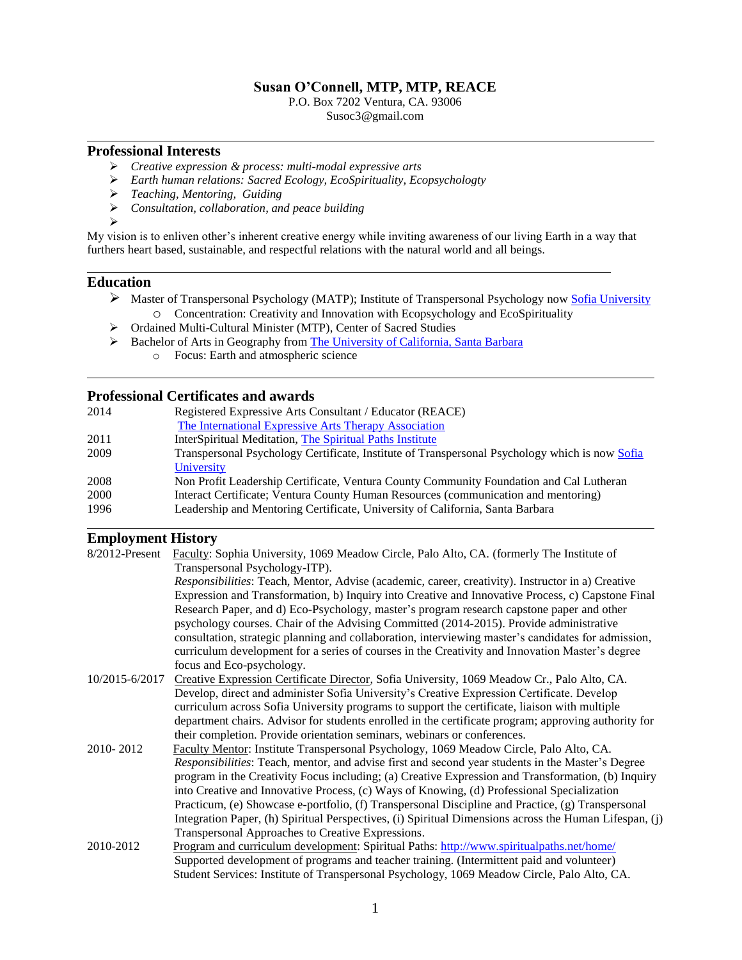## **Susan O'Connell, MTP, MTP, REACE**

P.O. Box 7202 Ventura, CA. 93006 Susoc3@gmail.com

#### **Professional Interests**

- *Creative expression & process: multi-modal expressive arts*
- *Earth human relations: Sacred Ecology, EcoSpirituality, Ecopsychologty*
- *Teaching, Mentoring, Guiding*
- *Consultation, collaboration, and peace building*
- $\triangleright$

My vision is to enliven other's inherent creative energy while inviting awareness of our living Earth in a way that furthers heart based, sustainable, and respectful relations with the natural world and all beings.

## **Education**

- > Master of Transpersonal Psychology (MATP); Institute of Transpersonal Psychology now [Sofia University](http://www.sofia.edu/) o Concentration: Creativity and Innovation with Ecopsychology and EcoSpirituality
- Ordained Multi-Cultural Minister (MTP), Center of Sacred Studies
- Bachelor of Arts in Geography from [The University of California, Santa Barbara](http://www.ucsb.edu/)
	- o Focus: Earth and atmospheric science

## **Professional Certificates and awards**

| Registered Expressive Arts Consultant / Educator (REACE)                                       |
|------------------------------------------------------------------------------------------------|
| The International Expressive Arts Therapy Association                                          |
| InterSpiritual Meditation, The Spiritual Paths Institute                                       |
| Transpersonal Psychology Certificate, Institute of Transpersonal Psychology which is now Sofia |
|                                                                                                |
| Non Profit Leadership Certificate, Ventura County Community Foundation and Cal Lutheran        |
| Interact Certificate; Ventura County Human Resources (communication and mentoring)             |
| Leadership and Mentoring Certificate, University of California, Santa Barbara                  |
|                                                                                                |

## **Employment History**

| 8/2012-Present | Faculty: Sophia University, 1069 Meadow Circle, Palo Alto, CA. (formerly The Institute of                                                                                            |
|----------------|--------------------------------------------------------------------------------------------------------------------------------------------------------------------------------------|
|                | Transpersonal Psychology-ITP).                                                                                                                                                       |
|                | Responsibilities: Teach, Mentor, Advise (academic, career, creativity). Instructor in a) Creative                                                                                    |
|                | Expression and Transformation, b) Inquiry into Creative and Innovative Process, c) Capstone Final                                                                                    |
|                | Research Paper, and d) Eco-Psychology, master's program research capstone paper and other<br>psychology courses. Chair of the Advising Committed (2014-2015). Provide administrative |
|                | consultation, strategic planning and collaboration, interviewing master's candidates for admission,                                                                                  |
|                | curriculum development for a series of courses in the Creativity and Innovation Master's degree                                                                                      |
|                | focus and Eco-psychology.                                                                                                                                                            |
| 10/2015-6/2017 | Creative Expression Certificate Director, Sofia University, 1069 Meadow Cr., Palo Alto, CA.                                                                                          |
|                | Develop, direct and administer Sofia University's Creative Expression Certificate. Develop                                                                                           |
|                | curriculum across Sofia University programs to support the certificate, liaison with multiple                                                                                        |
|                | department chairs. Advisor for students enrolled in the certificate program; approving authority for                                                                                 |
|                | their completion. Provide orientation seminars, webinars or conferences.                                                                                                             |
| 2010-2012      | Faculty Mentor: Institute Transpersonal Psychology, 1069 Meadow Circle, Palo Alto, CA.                                                                                               |
|                | Responsibilities: Teach, mentor, and advise first and second year students in the Master's Degree                                                                                    |
|                | program in the Creativity Focus including; (a) Creative Expression and Transformation, (b) Inquiry                                                                                   |
|                | into Creative and Innovative Process, (c) Ways of Knowing, (d) Professional Specialization                                                                                           |
|                | Practicum, (e) Showcase e-portfolio, (f) Transpersonal Discipline and Practice, (g) Transpersonal                                                                                    |
|                | Integration Paper, (h) Spiritual Perspectives, (i) Spiritual Dimensions across the Human Lifespan, (j)                                                                               |
|                | Transpersonal Approaches to Creative Expressions.                                                                                                                                    |
| 2010-2012      | Program and curriculum development: Spiritual Paths: http://www.spiritualpaths.net/home/                                                                                             |
|                | Supported development of programs and teacher training. (Intermittent paid and volunteer)                                                                                            |
|                | Student Services: Institute of Transpersonal Psychology, 1069 Meadow Circle, Palo Alto, CA.                                                                                          |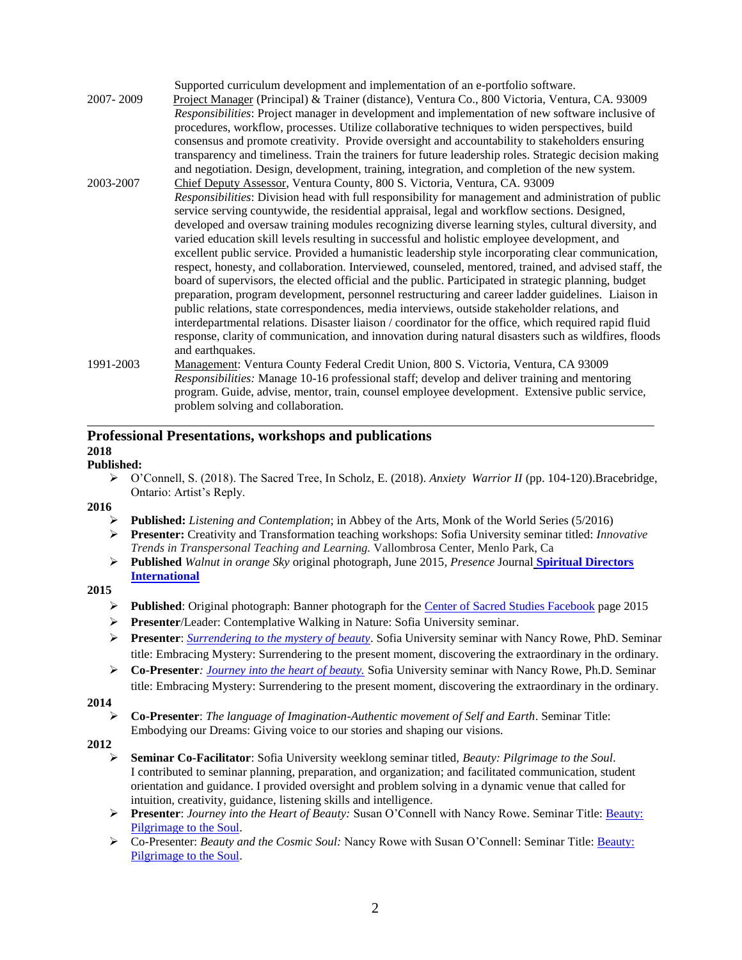|           | Supported curriculum development and implementation of an e-portfolio software.                        |
|-----------|--------------------------------------------------------------------------------------------------------|
| 2007-2009 | Project Manager (Principal) & Trainer (distance), Ventura Co., 800 Victoria, Ventura, CA. 93009        |
|           | Responsibilities: Project manager in development and implementation of new software inclusive of       |
|           | procedures, workflow, processes. Utilize collaborative techniques to widen perspectives, build         |
|           | consensus and promote creativity. Provide oversight and accountability to stakeholders ensuring        |
|           | transparency and timeliness. Train the trainers for future leadership roles. Strategic decision making |
|           | and negotiation. Design, development, training, integration, and completion of the new system.         |
| 2003-2007 | Chief Deputy Assessor, Ventura County, 800 S. Victoria, Ventura, CA. 93009                             |
|           | Responsibilities: Division head with full responsibility for management and administration of public   |
|           | service serving countywide, the residential appraisal, legal and workflow sections. Designed,          |
|           | developed and oversaw training modules recognizing diverse learning styles, cultural diversity, and    |
|           | varied education skill levels resulting in successful and holistic employee development, and           |
|           | excellent public service. Provided a humanistic leadership style incorporating clear communication,    |
|           | respect, honesty, and collaboration. Interviewed, counseled, mentored, trained, and advised staff, the |
|           | board of supervisors, the elected official and the public. Participated in strategic planning, budget  |
|           | preparation, program development, personnel restructuring and career ladder guidelines. Liaison in     |
|           | public relations, state correspondences, media interviews, outside stakeholder relations, and          |
|           | interdepartmental relations. Disaster liaison / coordinator for the office, which required rapid fluid |
|           | response, clarity of communication, and innovation during natural disasters such as wildfires, floods  |
|           | and earthquakes.                                                                                       |
| 1991-2003 | Management: Ventura County Federal Credit Union, 800 S. Victoria, Ventura, CA 93009                    |
|           | Responsibilities: Manage 10-16 professional staff; develop and deliver training and mentoring          |
|           | program. Guide, advise, mentor, train, counsel employee development. Extensive public service,         |
|           | problem solving and collaboration.                                                                     |

# **Professional Presentations, workshops and publications**

## **2018**

- **Published:** 
	- O'Connell, S. (2018). The Sacred Tree, In Scholz, E. (2018). *Anxiety Warrior II* (pp. 104-120).Bracebridge, Ontario: Artist's Reply.
- **2016**
	- **Published:** *Listening and Contemplation*; in Abbey of the Arts, Monk of the World Series (5/2016)
	- **Presenter:** Creativity and Transformation teaching workshops: Sofia University seminar titled: *Innovative Trends in Transpersonal Teaching and Learning.* Vallombrosa Center, Menlo Park, Ca
	- **Published** *Walnut in orange Sky* original photograph, June 2015*, Presence* Journal **[Spiritual Directors](http://www.sdiworld.org/)  [International](http://www.sdiworld.org/)**

## **2015**

- Published: Original photograph: Banner photograph for the [Center of Sacred Studies Facebook](https://www.facebook.com/CenterforSacredStudies?fref=ts) page 2015
- **Presenter**/Leader: Contemplative Walking in Nature: Sofia University seminar.
- **Presenter**: *[Surrendering to the mystery of beauty](http://sofia.edu/academics/graduate-school-of-transpersonal-studies/master-arts-transpersonal-psychology-hybrid/matp-hybrid-seminars/)*. Sofia University seminar with Nancy Rowe, PhD. Seminar title: Embracing Mystery: Surrendering to the present moment, discovering the extraordinary in the ordinary.
- **Co-Presenter***: [Journey into the heart of beauty.](http://sofia.edu/academics/graduate-school-of-transpersonal-studies/master-arts-transpersonal-psychology-hybrid/matp-hybrid-seminars/)* Sofia University seminar with Nancy Rowe, Ph.D. Seminar title: Embracing Mystery: Surrendering to the present moment, discovering the extraordinary in the ordinary.

### **2014**

 **Co-Presenter**: *The language of Imagination-Authentic movement of Self and Earth*. Seminar Title: Embodying our Dreams: Giving voice to our stories and shaping our visions.

### **2012**

- **Seminar Co-Facilitator**: Sofia University weeklong seminar titled, *Beauty: Pilgrimage to the Soul*. I contributed to seminar planning, preparation, and organization; and facilitated communication, student orientation and guidance. I provided oversight and problem solving in a dynamic venue that called for intuition, creativity, guidance, listening skills and intelligence.
- **Presenter**: *Journey into the Heart of Beauty:* Susan O'Connell with Nancy Rowe. Seminar Title: [Beauty:](http://www.itp.edu/academics/seminars/1201ma.php)  [Pilgrimage to the Soul.](http://www.itp.edu/academics/seminars/1201ma.php)
- Co-Presenter: *Beauty and the Cosmic Soul:* Nancy Rowe with Susan O'Connell: Seminar Title: [Beauty:](http://www.itp.edu/academics/seminars/1201ma.php)  [Pilgrimage to the Soul.](http://www.itp.edu/academics/seminars/1201ma.php)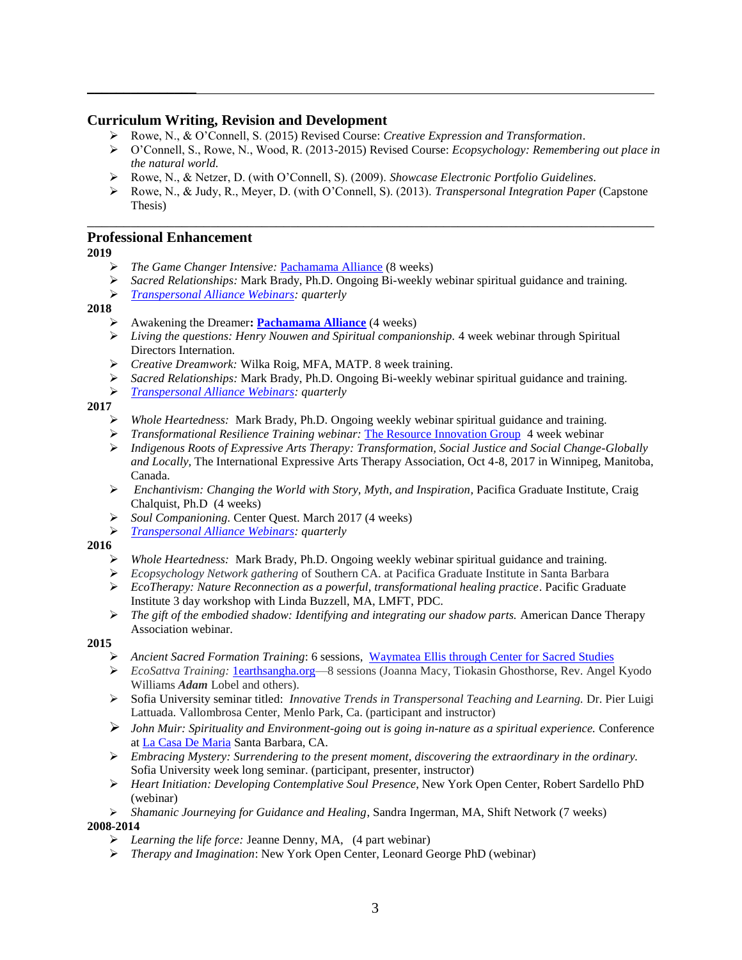## **Curriculum Writing, Revision and Development**

- Rowe, N., & O'Connell, S. (2015) Revised Course: *Creative Expression and Transformation*.
- O'Connell, S., Rowe, N., Wood, R. (2013-2015) Revised Course: *Ecopsychology: Remembering out place in the natural world.*
- Rowe, N., & Netzer, D. (with O'Connell, S). (2009). *Showcase Electronic Portfolio Guidelines*.
- Rowe, N., & Judy, R., Meyer, D. (with O'Connell, S). (2013). *Transpersonal Integration Paper* (Capstone Thesis)

\_\_\_\_\_\_\_\_\_\_\_\_\_\_\_\_\_\_\_\_\_\_\_\_\_\_\_\_\_\_\_\_\_\_\_\_\_\_\_\_\_\_\_\_\_\_\_\_\_\_\_\_\_\_\_\_\_\_\_\_\_\_\_\_\_\_\_\_\_\_\_\_\_\_\_\_\_\_

## **Professional Enhancement**

 $\frac{1}{2}$ 

**2019**

- *The Game Changer Intensive:* [Pachamama Alliance](https://www.pachamama.org/) (8 weeks)
- *Sacred Relationships:* Mark Brady, Ph.D. Ongoing Bi-weekly webinar spiritual guidance and training.
- *[Transpersonal Alliance Webinars:](http://www.itpalliance.org/) quarterly*

#### **2018**

- Awakening the Dreamer**: [Pachamama Alliance](https://www.pachamama.org/engage/awakening-the-dreamer)** (4 weeks)
- *Living the questions: Henry Nouwen and Spiritual companionship.* 4 week webinar through Spiritual Directors Internation.
- *Creative Dreamwork:* Wilka Roig, MFA, MATP. 8 week training.
- *Sacred Relationships:* Mark Brady, Ph.D. Ongoing Bi-weekly webinar spiritual guidance and training.
- *[Transpersonal Alliance Webinars:](http://www.itpalliance.org/) quarterly*

## **2017**

- *Whole Heartedness:* Mark Brady, Ph.D. Ongoing weekly webinar spiritual guidance and training.
- *Transformational Resilience Training webinar:* [The Resource Innovation Group](http://www.theresourceinnovationgroup.org/tr-workshops) 4 week webinar
- *Indigenous Roots of Expressive Arts Therapy: Transformation, Social Justice and Social Change-Globally and Locally,* The International Expressive Arts Therapy Association, Oct 4-8, 2017 in Winnipeg, Manitoba, Canada.
- *Enchantivism: Changing the World with Story, Myth, and Inspiration,* Pacifica Graduate Institute, Craig Chalquist, Ph.D (4 weeks)
- *Soul Companioning.* Center Quest. March 2017 (4 weeks)
- *[Transpersonal Alliance Webinars:](http://www.itpalliance.org/) quarterly*

### **2016**

- *Whole Heartedness:* Mark Brady, Ph.D. Ongoing weekly webinar spiritual guidance and training.
- *Ecopsychology Network gathering* of Southern CA. at Pacifica Graduate Institute in Santa Barbara
- *EcoTherapy: Nature Reconnection as a powerful, transformational healing practice*. Pacific Graduate Institute 3 day workshop with Linda Buzzell, MA, LMFT, PDC.
- *The gift of the embodied shadow: Identifying and integrating our shadow parts.* American Dance Therapy Association webinar.

### **2015**

- *Ancient Sacred Formation Training*: 6 sessions, [Waymatea](http://www.waymatea.com/ancient-sacred-formation/) Ellis through Center for Sacred Studies
- *EcoSattva Training:* [1earthsangha.org—](http://www.oneearthsangha.org/programs/ecosattva-training/faq/)8 sessions (Joanna Macy, Tiokasin Ghosthorse, Rev. Angel Kyodo Williams *Adam* Lobel and others).
- Sofia University seminar titled: *Innovative Trends in Transpersonal Teaching and Learning.* Dr. Pier Luigi Lattuada. Vallombrosa Center, Menlo Park, Ca. (participant and instructor)
- *John Muir: Spirituality and Environment-going out is going in-nature as a spiritual experience.* Conference a[t La Casa De Maria](https://www.lacasademaria.org/) Santa Barbara, CA.
- *Embracing Mystery: Surrendering to the present moment, discovering the extraordinary in the ordinary.* Sofia University week long seminar. (participant, presenter, instructor)
- *Heart Initiation: Developing Contemplative Soul Presence*, New York Open Center, Robert Sardello PhD (webinar)
- *Shamanic Journeying for Guidance and Healing*, Sandra Ingerman, MA, Shift Network (7 weeks) **2008-2014**
	- *Learning the life force:* Jeanne Denny, MA, (4 part webinar)
	- *Therapy and Imagination*: New York Open Center, Leonard George PhD (webinar)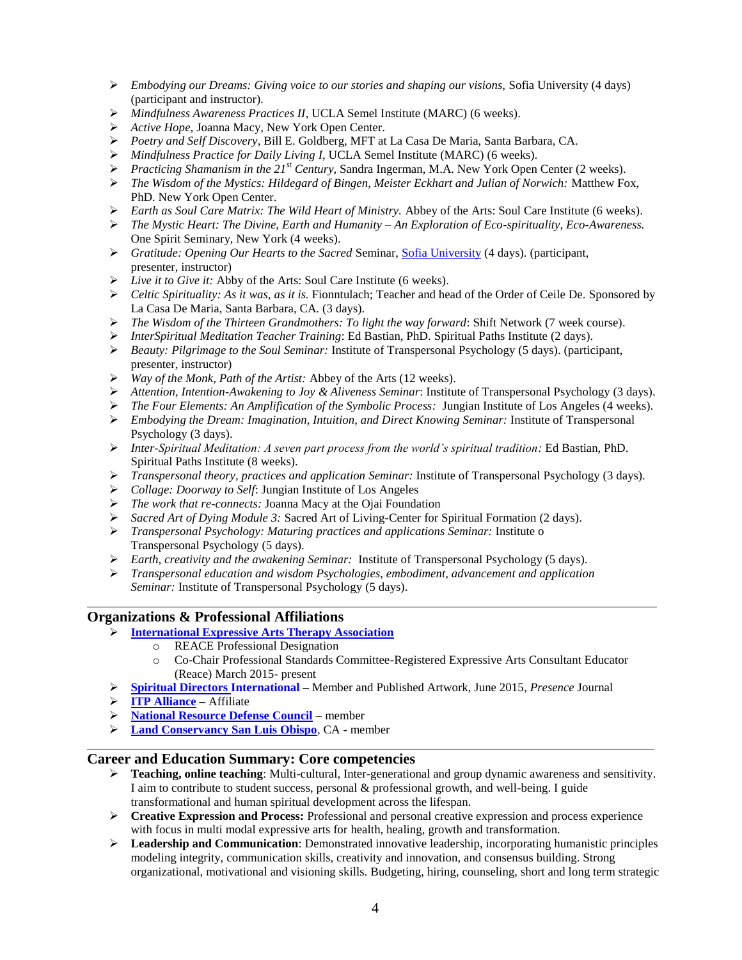- *Embodying our Dreams: Giving voice to our stories and shaping our visions,* Sofia University (4 days) (participant and instructor)*.*
- *Mindfulness Awareness Practices II*, UCLA Semel Institute (MARC) (6 weeks).
- *Active Hope,* Joanna Macy, New York Open Center.
- *Poetry and Self Discovery*, Bill E. Goldberg, MFT at La Casa De Maria, Santa Barbara, CA.
- *Mindfulness Practice for Daily Living I,* UCLA Semel Institute (MARC) (6 weeks).
- *Practicing Shamanism in the 21st Century*, Sandra Ingerman, M.A. New York Open Center (2 weeks).
- *The Wisdom of the Mystics: Hildegard of Bingen, Meister Eckhart and Julian of Norwich:* Matthew Fox, PhD. New York Open Center.
- *Earth as Soul Care Matrix: The Wild Heart of Ministry.* Abbey of the Arts: Soul Care Institute (6 weeks).
- *The Mystic Heart: The Divine, Earth and Humanity – An Exploration of Eco-spirituality, Eco-Awareness.*  One Spirit Seminary, New York (4 weeks).
- *Gratitude: Opening Our Hearts to the Sacred* Seminar[, Sofia University](http://www.sofia.edu/home.php) (4 days). (participant, presenter, instructor)
- *Live it to Give it:* Abby of the Arts: Soul Care Institute (6 weeks).
- *Celtic Spirituality: As it was, as it is.* Fionntulach; Teacher and head of the Order of Ceile De. Sponsored by La Casa De Maria, Santa Barbara, CA. (3 days).
- *The Wisdom of the Thirteen Grandmothers: To light the way forward*: Shift Network (7 week course).
- *InterSpiritual Meditation Teacher Training*: Ed Bastian, PhD. Spiritual Paths Institute (2 days).
- *Beauty: Pilgrimage to the Soul Seminar:* Institute of Transpersonal Psychology (5 days). (participant, presenter, instructor)
- *Way of the Monk, Path of the Artist:* Abbey of the Arts (12 weeks).
- *Attention, Intention-Awakening to Joy & Aliveness Seminar*: Institute of Transpersonal Psychology (3 days).
- *The Four Elements: An Amplification of the Symbolic Process:* Jungian Institute of Los Angeles (4 weeks).
- *Embodying the Dream: Imagination, Intuition, and Direct Knowing Seminar:* Institute of Transpersonal Psychology (3 days).
- *Inter-Spiritual Meditation: A seven part process from the world's spiritual tradition:* Ed Bastian, PhD. Spiritual Paths Institute (8 weeks).
- *Transpersonal theory, practices and application Seminar:* Institute of Transpersonal Psychology (3 days).
- *Collage: Doorway to Self*: Jungian Institute of Los Angeles
- *The work that re-connects:* Joanna Macy at the Ojai Foundation
- *Sacred Art of Dying Module 3:* Sacred Art of Living-Center for Spiritual Formation (2 days).
- *Transpersonal Psychology: Maturing practices and applications Seminar:* Institute o Transpersonal Psychology (5 days).
- *Earth, creativity and the awakening Seminar:* Institute of Transpersonal Psychology (5 days).
- *Transpersonal education and wisdom Psychologies, embodiment, advancement and application Seminar:* Institute of Transpersonal Psychology (5 days).

### **Organizations & Professional Affiliations**

- **[International Expressive Arts Therapy Association](http://www.ieata.org/)**
	- o REACE Professional Designation
	- o Co-Chair Professional Standards Committee-Registered Expressive Arts Consultant Educator (Reace) March 2015- present
- **[Spiritual Directors International](http://www.sdiworld.org/) –** Member and Published Artwork, June 2015*, Presence* Journal
- **[ITP Alliance](http://www.itpalliance.org/) –** Affiliate

l

- **[National Resource Defense Council](http://www.nrdc.org/)** member
- **[Land Conservancy San Luis Obispo](https://lcslo.org/)**, CA member

## **Career and Education Summary: Core competencies**

- **Teaching, online teaching**: Multi-cultural, Inter-generational and group dynamic awareness and sensitivity. I aim to contribute to student success, personal & professional growth, and well-being. I guide transformational and human spiritual development across the lifespan.
- **Creative Expression and Process:** Professional and personal creative expression and process experience with focus in multi modal expressive arts for health, healing, growth and transformation.
- **Leadership and Communication**: Demonstrated innovative leadership, incorporating humanistic principles modeling integrity, communication skills, creativity and innovation, and consensus building. Strong organizational, motivational and visioning skills. Budgeting, hiring, counseling, short and long term strategic